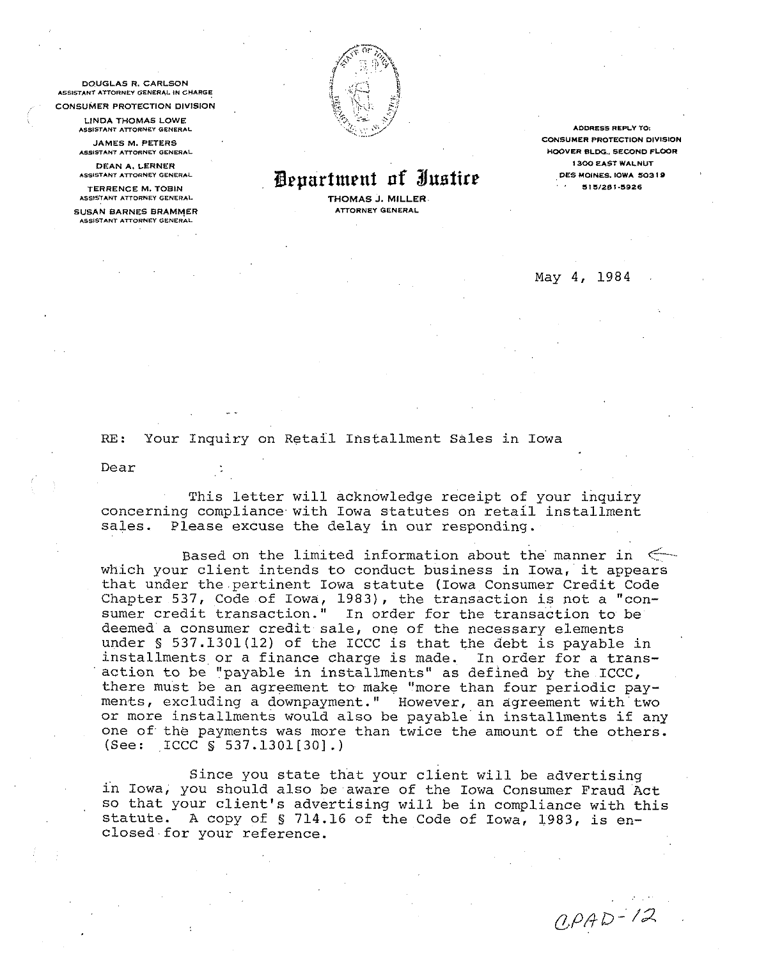**DOUGLAS R. CARLSON** ASSISTANT ATTORNEY GENERAL IN CHARGE **CONSUMER PROTECTION DIVISION** 

> **I INDA THOMAS LOWE** ASSISTANT ATTORNEY GENERAL

**JAMES M. PETERS** ASSISTANT ATTORNEY GENERAL

DEAN A, LERNER ASSISTANT ATTORNEY GENERAL

**TERRENCE M. TOBIN** ASSISTANT ATTORNEY GENERAL

**SUSAN BARNES BRAMMER** ASSISTANT ATTORNEY GENERAL



## *Pepartment of Justice*

THOMAS J. MILLER. ATTORNEY GENERAL

**ADDRESS REPLY TO:** CONSUMER PROTECTION DIVISION HOOVER BLDG., SECOND FLOOR **1300 EAST WALNUT** DES MOINES, IOWA 50319 515/281-5926

## May 4, 1984

RE: Your Inquiry on Retail Installment Sales in Iowa

Dear

This letter will acknowledge receipt of your inquiry concerning compliance with Iowa statutes on retail installment sales. Please excuse the delay in our responding.

Based on the limited information about the manner in  $\leq$ which your client intends to conduct business in Iowa, it appears that under the pertinent Iowa statute (Iowa Consumer Credit Code Chapter 537, Code of Iowa, 1983), the transaction is not a "con-<br>sumer credit transaction." In order for the transaction to be deemed a consumer credit sale, one of the necessary elements under § 537.1301(12) of the ICCC is that the debt is payable in installments or a finance charge is made. In order for a trans-<br>action to be "payable in installments" as defined by the ICCC, there must be an agreement to make "more than four periodic payments, excluding a downpayment." However, an agreement with two or more installments would also be payable in installments if any one of the payments was more than twice the amount of the others. (See: ICCC  $\S$  537.1301[30].)

Since you state that your client will be advertising in Iowa, you should also be aware of the Iowa Consumer Fraud Act so that your client's advertising will be in compliance with this statute. A copy of § 714.16 of the Code of Iowa, 1983, is enclosed for your reference.

 $Q$  $P$  $A$  $D$ -12